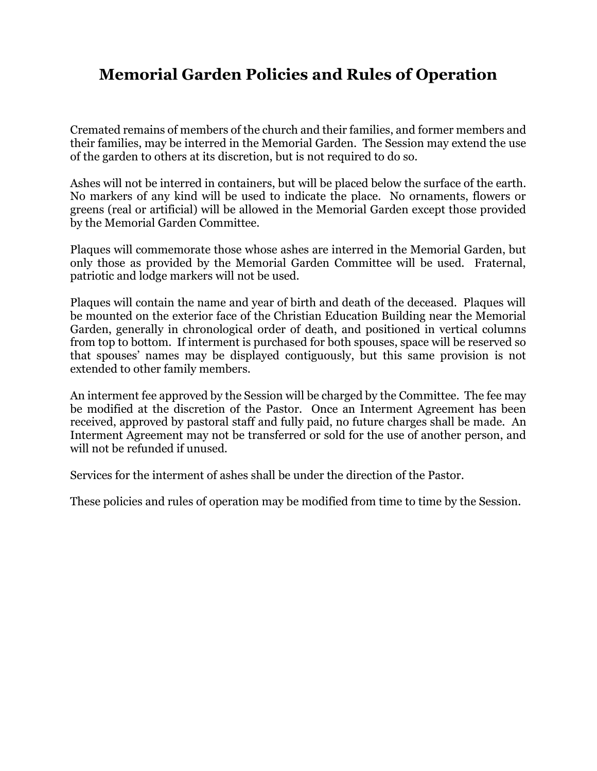## **Memorial Garden Policies and Rules of Operation**

Cremated remains of members of the church and their families, and former members and their families, may be interred in the Memorial Garden. The Session may extend the use of the garden to others at its discretion, but is not required to do so.

Ashes will not be interred in containers, but will be placed below the surface of the earth. No markers of any kind will be used to indicate the place. No ornaments, flowers or greens (real or artificial) will be allowed in the Memorial Garden except those provided by the Memorial Garden Committee.

Plaques will commemorate those whose ashes are interred in the Memorial Garden, but only those as provided by the Memorial Garden Committee will be used. Fraternal, patriotic and lodge markers will not be used.

Plaques will contain the name and year of birth and death of the deceased. Plaques will be mounted on the exterior face of the Christian Education Building near the Memorial Garden, generally in chronological order of death, and positioned in vertical columns from top to bottom. If interment is purchased for both spouses, space will be reserved so that spouses' names may be displayed contiguously, but this same provision is not extended to other family members.

An interment fee approved by the Session will be charged by the Committee. The fee may be modified at the discretion of the Pastor. Once an Interment Agreement has been received, approved by pastoral staff and fully paid, no future charges shall be made. An Interment Agreement may not be transferred or sold for the use of another person, and will not be refunded if unused.

Services for the interment of ashes shall be under the direction of the Pastor.

These policies and rules of operation may be modified from time to time by the Session.